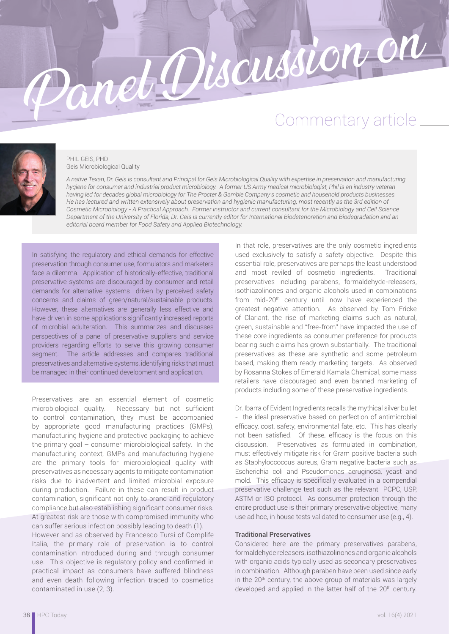# Panel Discussion on



### PHIL GEIS, PHD Geis Microbiological Quality

*A native Texan, Dr. Geis is consultant and Principal for Geis Microbiological Quality with expertise in preservation and manufacturing hygiene for consumer and industrial product microbiology. A former US Army medical microbiologist, Phil is an industry veteran having led for decades global microbiology for The Procter & Gamble Company's cosmetic and household products businesses. He has lectured and written extensively about preservation and hygienic manufacturing, most recently as the 3rd edition of Cosmetic Microbiology - A Practical Approach. Former instructor and current consultant for the Microbiology and Cell Science Department of the University of Florida, Dr. Geis is currently editor for International Biodeterioration and Biodegradation and an editorial board member for Food Safety and Applied Biotechnology.*

In satisfying the regulatory and ethical demands for effective preservation through consumer use, formulators and marketers face a dilemma. Application of historically-effective, traditional preservative systems are discouraged by consumer and retail demands for alternative systems driven by perceived safety concerns and claims of green/natural/sustainable products. However, these alternatives are generally less effective and have driven in some applications significantly increased reports of microbial adulteration. This summarizes and discusses perspectives of a panel of preservative suppliers and service providers regarding efforts to serve this growing consumer segment. The article addresses and compares traditional preservatives and alternative systems, identifying risks that must be managed in their continued development and application.

Preservatives are an essential element of cosmetic microbiological quality. Necessary but not sufficient to control contamination, they must be accompanied by appropriate good manufacturing practices (GMPs), manufacturing hygiene and protective packaging to achieve the primary goal – consumer microbiological safety. In the manufacturing context, GMPs and manufacturing hygiene are the primary tools for microbiological quality with preservatives as necessary agents to mitigate contamination risks due to inadvertent and limited microbial exposure during production. Failure in these can result in product contamination, significant not only to brand and regulatory compliance but also establishing significant consumer risks. At greatest risk are those with compromised immunity who can suffer serious infection possibly leading to death (1).

However and as observed by Francesco Tursi of Complife Italia, the primary role of preservation is to control contamination introduced during and through consumer use. This objective is regulatory policy and confirmed in practical impact as consumers have suffered blindness and even death following infection traced to cosmetics contaminated in use (2, 3).

In that role, preservatives are the only cosmetic ingredients used exclusively to satisfy a safety objective. Despite this essential role, preservatives are perhaps the least understood and most reviled of cosmetic ingredients. Traditional preservatives including parabens, formaldehyde-releasers, isothiazolinones and organic alcohols used in combinations from mid-20th century until now have experienced the greatest negative attention. As observed by Tom Fricke of Clariant, the rise of marketing claims such as natural, green, sustainable and "free-from" have impacted the use of these core ingredients as consumer preference for products bearing such claims has grown substantially. The traditional preservatives as these are synthetic and some petroleum based, making them ready marketing targets. As observed by Rosanna Stokes of Emerald Kamala Chemical, some mass retailers have discouraged and even banned marketing of products including some of these preservative ingredients.

Dr. Ibarra of Evident Ingredients recalls the mythical silver bullet - the ideal preservative based on perfection of antimicrobial efficacy, cost, safety, environmental fate, etc. This has clearly not been satisfied. Of these, efficacy is the focus on this discussion. Preservatives as formulated in combination, must effectively mitigate risk for Gram positive bacteria such as Staphyloccoccus aureus, Gram negative bacteria such as Escherichia coli and Pseudomonas aeruginosa, yeast and mold. This efficacy is specifically evaluated in a compendial preservative challenge test such as the relevant PCPC, USP, ASTM or ISO protocol. As consumer protection through the entire product use is their primary preservative objective, many use ad hoc, in house tests validated to consumer use (e.g., 4).

### Traditional Preservatives

Considered here are the primary preservatives parabens, formaldehyde releasers, isothiazolinones and organic alcohols with organic acids typically used as secondary preservatives in combination. Although paraben have been used since early in the 20<sup>th</sup> century, the above group of materials was largely developed and applied in the latter half of the 20<sup>th</sup> century.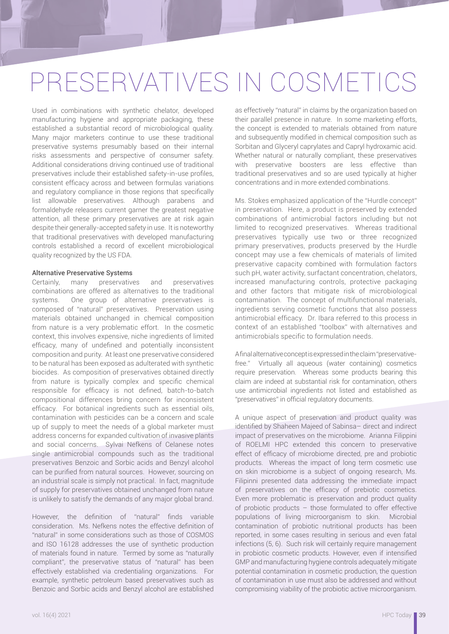# PRESERVATIVES IN COSMETICS

Used in combinations with synthetic chelator, developed manufacturing hygiene and appropriate packaging, these established a substantial record of microbiological quality. Many major marketers continue to use these traditional preservative systems presumably based on their internal risks assessments and perspective of consumer safety. Additional considerations driving continued use of traditional preservatives include their established safety-in-use profiles, consistent efficacy across and between formulas variations and regulatory compliance in those regions that specifically list allowable preservatives. Although parabens and formaldehyde releasers current garner the greatest negative attention, all these primary preservatives are at risk again despite their generally-accepted safety in use. It is noteworthy that traditional preservatives with developed manufacturing controls established a record of excellent microbiological quality recognized by the US FDA.

### Alternative Preservative Systems

Certainly, many preservatives and preservatives combinations are offered as alternatives to the traditional systems. One group of alternative preservatives is composed of "natural" preservatives. Preservation using materials obtained unchanged in chemical composition from nature is a very problematic effort. In the cosmetic context, this involves expensive, niche ingredients of limited efficacy, many of undefined and potentially inconsistent composition and purity. At least one preservative considered to be natural has been exposed as adulterated with synthetic biocides. As composition of preservatives obtained directly from nature is typically complex and specific chemical responsible for efficacy is not defined, batch-to-batch compositional differences bring concern for inconsistent efficacy. For botanical ingredients such as essential oils, contamination with pesticides can be a concern and scale up of supply to meet the needs of a global marketer must address concerns for expanded cultivation of invasive plants and social concerns. Sylvai Nefkens of Celanese notes single antimicrobial compounds such as the traditional preservatives Benzoic and Sorbic acids and Benzyl alcohol can be purified from natural sources. However, sourcing on an industrial scale is simply not practical. In fact, magnitude of supply for preservatives obtained unchanged from nature is unlikely to satisfy the demands of any major global brand.

However, the definition of "natural" finds variable consideration. Ms. Nefkens notes the effective definition of "natural" in some considerations such as those of COSMOS and ISO 16128 addresses the use of synthetic production of materials found in nature. Termed by some as "naturally compliant", the preservative status of "natural" has been effectively established via credentialing organizations. For example, synthetic petroleum based preservatives such as Benzoic and Sorbic acids and Benzyl alcohol are established as effectively "natural" in claims by the organization based on their parallel presence in nature. In some marketing efforts, the concept is extended to materials obtained from nature and subsequently modified in chemical composition such as Sorbitan and Glyceryl caprylates and Capryl hydroxamic acid. Whether natural or naturally compliant, these preservatives with preservative boosters are less effective than traditional preservatives and so are used typically at higher concentrations and in more extended combinations.

Ms. Stokes emphasized application of the "Hurdle concept" in preservation. Here, a product is preserved by extended combinations of antimicrobial factors including but not limited to recognized preservatives. Whereas traditional preservatives typically use two or three recognized primary preservatives, products preserved by the Hurdle concept may use a few chemicals of materials of limited preservative capacity combined with formulation factors such pH, water activity, surfactant concentration, chelators, increased manufacturing controls, protective packaging and other factors that mitigate risk of microbiological contamination. The concept of multifunctional materials, ingredients serving cosmetic functions that also possess antimicrobial efficacy. Dr. Ibara referred to this process in context of an established "toolbox" with alternatives and antimicrobials specific to formulation needs.

A final alternative concept is expressed in the claim "preservativefree." Virtually all aqueous (water containing) cosmetics require preservation. Whereas some products bearing this claim are indeed at substantial risk for contamination, others use antimicrobial ingredients not listed and established as "preservatives" in official regulatory documents.

A unique aspect of preservation and product quality was identified by Shaheen Majeed of Sabinsa- direct and indirect impact of preservatives on the microbiome. Arianna Filippini of ROELMI HPC extended this concern to preservative effect of efficacy of microbiome directed, pre and probiotic products. Whereas the impact of long term cosmetic use on skin microbiome is a subject of ongoing research, Ms. Filipinni presented data addressing the immediate impact of preservatives on the efficacy of prebiotic cosmetics. Even more problematic is preservation and product quality of probiotic products – those formulated to offer effective populations of living microorganism to skin. Microbial contamination of probiotic nutritional products has been reported, in some cases resulting in serious and even fatal infections (5, 6). Such risk will certainly require management in probiotic cosmetic products. However, even if intensified GMP and manufacturing hygiene controls adequately mitigate potential contamination in cosmetic production, the question of contamination in use must also be addressed and without compromising viability of the probiotic active microorganism.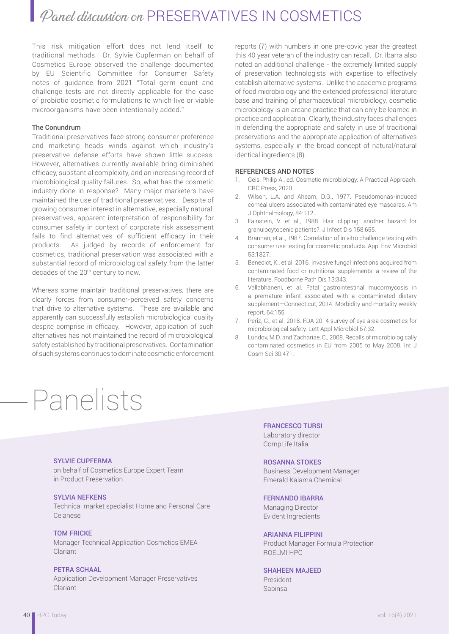This risk mitigation effort does not lend itself to traditional methods. Dr. Sylvie Cupferman on behalf of Cosmetics Europe observed the challenge documented by EU Scientific Committee for Consumer Safety notes of guidance from 2021 "Total germ count and challenge tests are not directly applicable for the case of probiotic cosmetic formulations to which live or viable microorganisms have been intentionally added."

### The Conundrum

Traditional preservatives face strong consumer preference and marketing heads winds against which industry's preservative defense efforts have shown little success. However, alternatives currently available bring diminished efficacy, substantial complexity, and an increasing record of microbiological quality failures. So, what has the cosmetic industry done in response? Many major marketers have maintained the use of traditional preservatives. Despite of growing consumer interest in alternative, especially natural, preservatives, apparent interpretation of responsibility for consumer safety in context of corporate risk assessment fails to find alternatives of sufficient efficacy in their products. As judged by records of enforcement for cosmetics, traditional preservation was associated with a substantial record of microbiological safety from the latter decades of the 20<sup>th</sup> century to now.

Whereas some maintain traditional preservatives, there are clearly forces from consumer-perceived safety concerns that drive to alternative systems. These are available and apparently can successfully establish microbiological quality despite comprise in efficacy. However, application of such alternatives has not maintained the record of microbiological safety established by traditional preservatives. Contamination of such systems continues to dominate cosmetic enforcement

# Panelists

reports (7) with numbers in one pre-covid year the greatest this 40 year veteran of the industry can recall. Dr. Ibarra also noted an additional challenge - the extremely limited supply of preservation technologists with expertise to effectively establish alternative systems. Unlike the academic programs of food microbiology and the extended professional literature base and training of pharmaceutical microbiology, cosmetic microbiology is an arcane practice that can only be learned in practice and application. Clearly, the industry faces challenges in defending the appropriate and safety in use of traditional preservations and the appropriate application of alternatives systems, especially in the broad concept of natural/natural identical ingredients (8).

### REFERENCES AND NOTES

- 1. Geis, Philip A., ed. Cosmetic microbiology: A Practical Approach. CRC Press, 2020.
- 2. Wilson, L.A. and Ahearn, D.G., 1977. Pseudomonas-induced corneal ulcers associated with contaminated eye mascaras. Am J Ophthalmology, 84:112..
- 3. Fainstein, V. et al., 1988. Hair clipping: another hazard for granulocytopenic patients?. J Infect Dis 158:655.
- 4. Brannan, et al., 1987. Correlation of in vitro challenge testing with consumer use testing for cosmetic products. Appl Env Microbiol 53:1827.
- 5. Benedict, K., et al. 2016. Invasive fungal infections acquired from contaminated food or nutritional supplements: a review of the literature. Foodborne Path Dis 13:343.
- 6. Vallabhaneni, et al. Fatal gastrointestinal mucormycosis in a premature infant associated with a contaminated dietary supplement—Connecticut, 2014. Morbidity and mortality weekly report, 64:155.
- 7. Periz, G., et al. 2018. FDA 2014 survey of eye area cosmetics for microbiological safety. Lett Appl Microbiol 67:32.
- 8. Lundov, M.D. and Zachariae, C., 2008. Recalls of microbiologically contaminated cosmetics in EU from 2005 to May 2008. Int J Cosm Sci 30:471.

### SYLVIE CUPFERMA

on behalf of Cosmetics Europe Expert Team in Product Preservation

### SYLVIA NEFKENS

Technical market specialist Home and Personal Care Celanese

### TOM FRICKE Manager Technical Application Cosmetics EMEA Clariant

### PETRA SCHAAL Application Development Manager Preservatives Clariant

### FRANCESCO TURSI Laboratory director

CompLife Italia

### ROSANNA STOKES

Business Development Manager, Emerald Kalama Chemical

### FERNANDO IBARRA

Managing Director Evident Ingredients

### ARIANNA FILIPPINI

Product Manager Formula Protection ROELMI HPC

### SHAHEEN MAJEED

President Sabinsa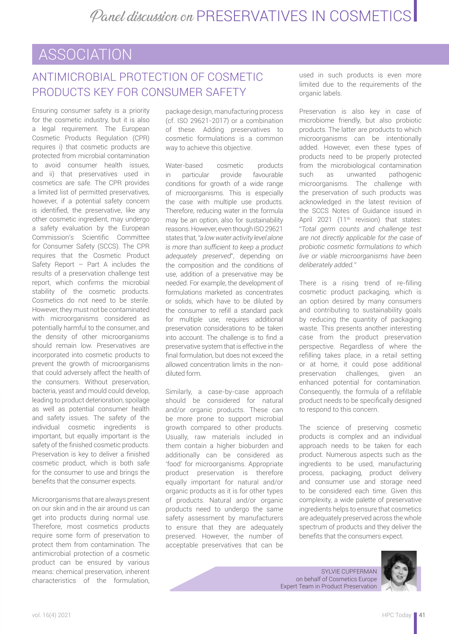# ASSOCIATION

# ANTIMICROBIAL PROTECTION OF COSMETIC PRODUCTS KEY FOR CONSUMER SAFETY

Ensuring consumer safety is a priority for the cosmetic industry, but it is also a legal requirement. The European Cosmetic Products Regulation (CPR) requires i) that cosmetic products are protected from microbial contamination to avoid consumer health issues, and ii) that preservatives used in cosmetics are safe. The CPR provides a limited list of permitted preservatives, however, if a potential safety concern is identified, the preservative, like any other cosmetic ingredient, may undergo a safety evaluation by the European Commission's Scientific Committee for Consumer Safety (SCCS). The CPR requires that the Cosmetic Product Safety Report – Part A includes the results of a preservation challenge test report, which confirms the microbial stability of the cosmetic products. Cosmetics do not need to be sterile. However, they must not be contaminated with microorganisms considered as potentially harmful to the consumer, and the density of other microorganisms should remain low. Preservatives are incorporated into cosmetic products to prevent the growth of microorganisms that could adversely affect the health of the consumers. Without preservation, bacteria, yeast and mould could develop, leading to product deterioration, spoilage as well as potential consumer health and safety issues. The safety of the individual cosmetic ingredients is important, but equally important is the safety of the finished cosmetic products. Preservation is key to deliver a finished cosmetic product, which is both safe for the consumer to use and brings the benefits that the consumer expects.

Microorganisms that are always present on our skin and in the air around us can get into products during normal use. Therefore, most cosmetics products require some form of preservation to protect them from contamination. The antimicrobial protection of a cosmetic product can be ensured by various means: chemical preservation, inherent characteristics of the formulation,

package design, manufacturing process (cf. ISO 29621-2017) or a combination of these. Adding preservatives to cosmetic formulations is a common way to achieve this objective.

Water-based cosmetic products in particular provide favourable conditions for growth of a wide range of microorganisms. This is especially the case with multiple use products. Therefore, reducing water in the formula may be an option, also for sustainability reasons. However, even though ISO 29621 states that, *"a low water activity level alone is more than sufficient to keep a product adequately preserved*", depending on the composition and the conditions of use, addition of a preservative may be needed. For example, the development of formulations marketed as concentrates or solids, which have to be diluted by the consumer to refill a standard pack for multiple use, requires additional preservation considerations to be taken into account. The challenge is to find a preservative system that is effective in the final formulation, but does not exceed the allowed concentration limits in the nondiluted form.

Similarly, a case-by-case approach should be considered for natural and/or organic products. These can be more prone to support microbial growth compared to other products. Usually, raw materials included in them contain a higher bioburden and additionally can be considered as 'food' for microorganisms. Appropriate product preservation is therefore equally important for natural and/or organic products as it is for other types of products. Natural and/or organic products need to undergo the same safety assessment by manufacturers to ensure that they are adequately preserved. However, the number of acceptable preservatives that can be

used in such products is even more limited due to the requirements of the organic labels.

Preservation is also key in case of microbiome friendly, but also probiotic products. The latter are products to which microorganisms can be intentionally added. However, even these types of products need to be properly protected from the microbiological contamination such as unwanted pathogenic microorganisms. The challenge with the preservation of such products was acknowledged in the latest revision of the SCCS Notes of Guidance issued in April 2021 (11<sup>th</sup> revision) that states: "*Total germ counts and challenge test are not directly applicable for the case of probiotic cosmetic formulations to which live or viable microorganisms have been deliberately added."* 

There is a rising trend of re-filling cosmetic product packaging, which is an option desired by many consumers and contributing to sustainability goals by reducing the quantity of packaging waste. This presents another interesting case from the product preservation perspective. Regardless of where the refilling takes place, in a retail setting or at home, it could pose additional preservation challenges, given an enhanced potential for contamination. Consequently, the formula of a refillable product needs to be specifically designed to respond to this concern.

The science of preserving cosmetic products is complex and an individual approach needs to be taken for each product. Numerous aspects such as the ingredients to be used, manufacturing process, packaging, product delivery and consumer use and storage need to be considered each time. Given this complexity, a wide palette of preservative ingredients helps to ensure that cosmetics are adequately preserved across the whole spectrum of products and they deliver the benefits that the consumers expect.

SYLVIE CUPFERMAN on behalf of Cosmetics Europe Expert Team in Product Preservation

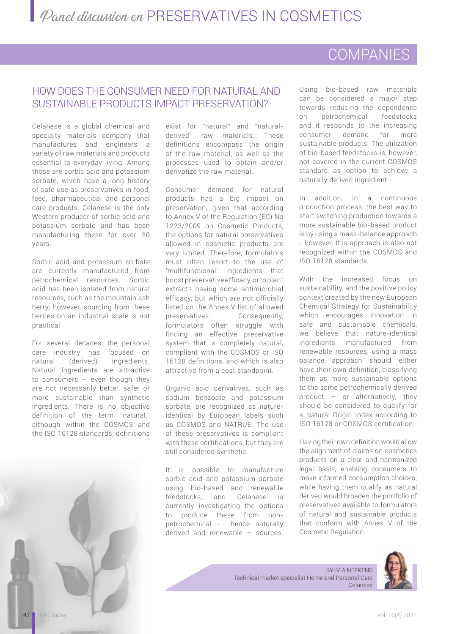# COMPANIES

# HOW DOES THE CONSUMER NEED FOR NATURAL AND SUSTAINABLE PRODUCTS IMPACT PRESERVATION?

Celanese is a global chemical and specialty materials company that manufactures and engineers a variety of raw materials and products essential to everyday living. Among those are sorbic acid and potassium sorbate, which have a long history of safe use as preservatives in food, feed, pharmaceutical and personal care products. Celanese is the only Western producer of sorbic acid and potassium sorbate and has been manufacturing these for over 50 years.

Sorbic acid and potassium sorbate are currently manufactured from petrochemical resources. Sorbic acid has been isolated from natural resources, such as the mountain ash berry; however, sourcing from these berries on an industrial scale is not practical.

For several decades, the personal care industry has focused on natural (derived) ingredients. Natural ingredients are attractive to consumers – even though they are not necessarily better, safer or more sustainable than synthetic ingredients. There is no objective definition of the term "natural," although within the COSMOS and the ISO 16128 standards, definitions

exist for "natural" and "naturalderived" raw materials. These definitions encompass the origin of the raw material, as well as the processes used to obtain and/or derivatize the raw material.

Consumer demand for natural products has a big impact on preservation, given that according to Annex V of the Regulation (EC) No 1223/2009 on Cosmetic Products, the options for natural preservatives allowed in cosmetic products are very limited. Therefore, formulators must often resort to the use of 'multifunctional' ingredients that boost preservative efficacy, or to plant extracts having some antimicrobial efficacy, but which are not officially listed on the Annex V list of allowed preservatives. Consequently, formulators often struggle with finding an effective preservative system that is completely natural, compliant with the COSMOS or ISO 16128 definitions, and which is also attractive from a cost standpoint.

Organic acid derivatives, such as sodium benzoate and potassium sorbate, are recognized as natureidentical by European labels such as COSMOS and NATRUE. The use of these preservatives is compliant with these certifications, but they are still considered synthetic.

It is possible to manufacture sorbic acid and potassium sorbate using bio-based and renewable feedstocks, and Celanese is currently investigating the options to produce these from nonpetrochemical - hence naturally derived and renewable – sources.

Using bio-based raw materials can be considered a major step towards reducing the dependence on petrochemical feedstocks and it responds to the increasing consumer demand for more sustainable products. The utilization of bio-based feedstocks is, however, not covered in the current COSMOS standard as option to achieve a naturally derived ingredient.

In addition, in a continuous production process, the best way to start switching production towards a more sustainable bio-based product is by using a mass-balance approach - however, this approach is also not recognized within the COSMOS and ISO 16128 standards.

With the increased focus on sustainability, and the positive policy context created by the new European Chemical Strategy for Sustainability which encourages innovation in safe and sustainable chemicals, we believe that nature-identical ingredients manufactured from renewable resources, using a mass balance approach should either have their own definition, classifying them as more sustainable options to the same petrochemically derived product – or alternatively, they should be considered to qualify for a Natural Origin Index according to ISO 16128 or COSMOS certification.

Having their own definition would allow the alignment of claims on cosmetics products on a clear and harmonized legal basis, enabling consumers to make informed consumption choices; while having them qualify as natural derived would broaden the portfolio of preservatives available to formulators of natural and sustainable products that conform with Annex V of the Cosmetic Regulation.



SYLVIA NEFKENS Technical market specialist Home and Personal Care Celanese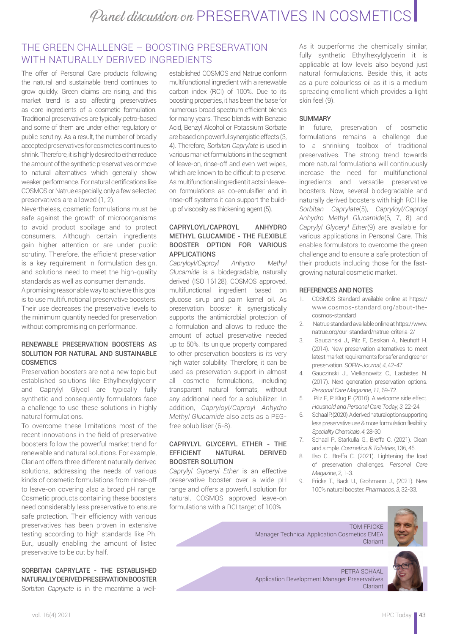### THE GREEN CHALLENGE – BOOSTING PRESERVATION WITH NATURALLY DERIVED INGREDIENTS

The offer of Personal Care products following the natural and sustainable trend continues to grow quickly. Green claims are rising, and this market trend is also affecting preservatives as core ingredients of a cosmetic formulation. Traditional preservatives are typically petro-based and some of them are under either regulatory or public scrutiny. As a result, the number of broadly accepted preservatives for cosmetics continues to shrink. Therefore, it is highly desired to either reduce the amount of the synthetic preservatives or move to natural alternatives which generally show weaker performance. For natural certifications like COSMOS or Natrue especially, only a few selected preservatives are allowed (1, 2).

Nevertheless, cosmetic formulations must be safe against the growth of microorganisms to avoid product spoilage and to protect consumers. Although certain ingredients gain higher attention or are under public scrutiny. Therefore, the efficient preservation is a key requirement in formulation design, and solutions need to meet the high-quality standards as well as consumer demands.

A promising reasonable way to achieve this goal is to use multifunctional preservative boosters. Their use decreases the preservative levels to the minimum quantity needed for preservation without compromising on performance.

### RENEWABLE PRESERVATION BOOSTERS AS SOLUTION FOR NATURAL AND SUSTAINABLE **COSMETICS**

Preservation boosters are not a new topic but established solutions like Ethylhexylglycerin and Caprylyl Glycol are typically fully synthetic and consequently formulators face a challenge to use these solutions in highly natural formulations.

To overcome these limitations most of the recent innovations in the field of preservative boosters follow the powerful market trend for renewable and natural solutions. For example, Clariant offers three different naturally derived solutions, addressing the needs of various kinds of cosmetic formulations from rinse-off to leave-on covering also a broad pH range. Cosmetic products containing these boosters need considerably less preservative to ensure safe protection. Their efficiency with various preservatives has been proven in extensive testing according to high standards like Ph. Eur., usually enabling the amount of listed preservative to be cut by half.

SORBITAN CAPRYLATE - THE ESTABLISHED NATURALLY DERIVED PRESERVATION BOOSTER *Sorbitan Caprylate* is in the meantime a well-

established COSMOS and Natrue conform multifunctional ingredient with a renewable carbon index (RCI) of 100%. Due to its boosting properties, it has been the base for numerous broad spectrum efficient blends for many years. These blends with Benzoic Acid, Benzyl Alcohol or Potassium Sorbate are based on powerful synergistic effects (3, 4). Therefore, *Sorbitan Caprylate* is used in various market formulations in the segment of leave-on, rinse-off and even wet wipes, which are known to be difficult to preserve. As multifunctional ingredient it acts in leaveon formulations as co-emulsifier and in rinse-off systems it can support the buildup of viscosity as thickening agent (5).

### CAPRYLOYL/CAPROYL ANHYDRO METHYL GLUCAMIDE - THE FLEXIBLE BOOSTER OPTION FOR VARIOUS APPLICATIONS

*Capryloyl/Caproyl Anhydro Methyl Glucamide* is a biodegradable, naturally derived (ISO 16128), COSMOS approved, multifunctional ingredient based on glucose sirup and palm kernel oil. As preservation booster it synergistically supports the antimicrobial protection of a formulation and allows to reduce the amount of actual preservative needed up to 50%. Its unique property compared to other preservation boosters is its very high water solubility. Therefore, it can be used as preservation support in almost all cosmetic formulations, including transparent natural formats, without any additional need for a solubilizer. In addition, *Capryloyl/Caproyl Anhydro Methyl Glucamide* also acts as a PEGfree solubiliser (6-8).

### CAPRYLYL GLYCERYL ETHER - THE EFFICIENT NATURAL DERIVED BOOSTER SOLUTION

*Caprylyl Glyceryl Ether* is an effective preservative booster over a wide pH range and offers a powerful solution for natural, COSMOS approved leave-on formulations with a RCI target of 100%.

As it outperforms the chemically similar, fully synthetic Ethylhexylglycerin it is applicable at low levels also beyond just natural formulations. Beside this, it acts as a pure colourless oil as it is a medium spreading emollient which provides a light skin feel (9).

### **SUMMARY**

In future, preservation of cosmetic formulations remains a challenge due to a shrinking toolbox of traditional preservatives. The strong trend towards more natural formulations will continuously increase the need for multifunctional ingredients and versatile preservative boosters. Now, several biodegradable and naturally derived boosters with high RCI like *Sorbitan Caprylate*(5), *Capryloyl/Caproyl Anhydro Methyl Glucamide*(6, 7, 8) and *Caprylyl Glyceryl Ether*(9) are available for various applications in Personal Care. This enables formulators to overcome the green challenge and to ensure a safe protection of their products including those for the fastgrowing natural cosmetic market.

### REFERENCES AND NOTES

- 1. COSMOS Standard available online at https:// [www.cosmos-standard.org/about-the](https://www.cosmos-standard.org/about-the-)cosmos-standard
- 2. Natrue standard available online at https://www. [natrue.org/our-standard/natrue-criteria-2/](https://natrue.org/our-standard/natrue-criteria-2/)
- 3. Gauczinski J., Pilz F., Desikan A., Neuhoff H. (2014). New preservation alternatives to meet latest market requirements for safer and greener preservation. *SOFW-Journal*, *4*, 42-47.
- 4. Gauczinski J., Vielkanowitz C., Lasbistes N. (2017). Next generation preservation options. *Personal Care Magazine*, *11*, 69-72.
- 5. Pilz F., P. Klug P. (2010). A welcome side effect. *Houshold and Personal Care Today*, *3*, 22-24.
- 6. Schaal P. (2020). A derived natural option supporting less preservative use & more formulation flexibility. *Speciality Chemicals*, *4*, 28-30.
- 7. Schaal P., Starkulla G., Breffa C. (2021). Clean and simple. *Cosmetics & Toiletries*, 136, 45.
- 8. Ilao C., Breffa C. (2021). Lightening the load of preservation challenges. *Personal Care Magazine*, *2*, 1-3.
- 9. Fricke T., Back U., Grohmann J., (2021). New 100% natural booster. *Pharmacos*, *3*, 32-33.



Application Development Manager Preservatives Clariant

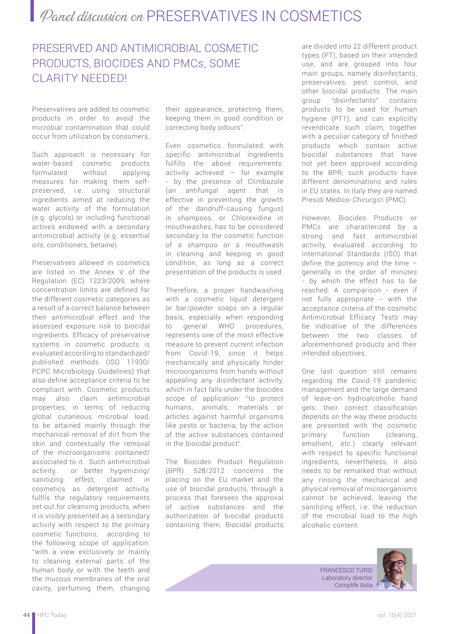# PRESERVED AND ANTIMICROBIAL COSMETIC PRODUCTS, BIOCIDES AND PMCs, SOME CLARITY NEEDED!

Preservatives are added to cosmetic products in order to avoid the microbial contamination that could occur from utilization by consumers.

Such approach is necessary for water-based cosmetic products formulated without applying measures for making them selfpreserved, i.e. using structural ingredients aimed at reducing the water activity of the formulation (e.g. glycols) or including functional actives endowed with a secondary antimicrobial activity (e.g. essential oils, conditioners, betaine).

Preservatives allowed in cosmetics are listed in the Annex V of the Regulation (EC) 1223/2009, where concentration limits are defined for the different cosmetic categories as a result of a correct balance between their antimicrobial effect and the assessed exposure risk to biocidal ingredients. Efficacy of preservative systems in cosmetic products is evaluated according to standardized/ published methods (ISO 11930/ PCPC Microbiology Guidelines) that also define acceptance criteria to be compliant with. Cosmetic products may also claim antimicrobial properties, in terms of reducing global cutaneous microbial load, to be attained mainly through the mechanical removal of dirt from the skin and contextually the removal of the microorganisms contained/ associated to it. Such antimicrobial activity, or better hygienizing/ sanitizing effect, claimed in cosmetics as detergent activity, fulfils the regulatory requirements set out for cleansing products, when it is visibly presented as a secondary activity with respect to the primary cosmetic functions, according to the following scope of application: "with a view exclusively or mainly to cleaning external parts of the human body or with the teeth and the mucous membranes of the oral cavity, perfuming them, changing

their appearance, protecting them, keeping them in good condition or correcting body odours".

Even cosmetics formulated with specific antimicrobial ingredients fulfills the above requirements: activity achieved – for example - by the presence of Climbazole (an antifungal agent that is effective in preventing the growth of the dandruff-causing fungus) in shampoos, or Chlorexidine in mouthwashes, has to be considered secondary to the cosmetic function of a shampoo or a mouthwash in cleaning and keeping in good condition, as long as a correct presentation of the products is used.

Therefore, a proper handwashing with a cosmetic liquid detergent or bar/powder soaps on a regular basis, especially when responding to general WHO procedures, represents one of the most effective measure to prevent current infection from Covid-19, since it helps mechanically and physically hinder microorganisms from hands without appealing any disinfectant activity, which in fact falls under the biocides scope of application: "to protect humans, animals, materials or articles against harmful organisms like pests or bacteria, by the action of the active substances contained in the biocidal product".

The Biocides Product Regulation (BPR) 528/2012 concerns the placing on the EU market and the use of biocidal products, through a process that foresees the approval of active substances and the authorization of biocidal products containing them. Biocidal products

are divided into 22 different product types (PT), based on their intended use, and are grouped into four main groups, namely disinfectants, preservatives, pest control, and other biocidal products. The main group "disinfectants" contains products to be used for human hygiene (PT1), and can explicitly revendicate such claim, together with a peculiar category of finished products which contain active biocidal substances that have not yet been approved according to the BPR; such products have different denominations and rules in EU states. In Italy they are named Presidi Medico-Chirurgici (PMC).

However, Biocides Products or PMCs are characterized by a strong and fast antimicrobial activity, evaluated according to International Standards (ISO) that define the potency and the time – generally in the order of minutes - by which the effect has to be reached. A comparison - even if not fully appropriate - with the acceptance criteria of the cosmetic Antimicrobial Efficacy Tests may be indicative of the differences between the two classes of aforementioned products and their intended objectives.

One last question still remains regarding the Covid-19 pandemic management and the large demand of leave-on hydroalcoholic hand gels: their correct classification depends on the way these products are presented with the cosmetic primary function (cleaning, emollient, etc.) clearly relevant with respect to specific functional ingredients; nevertheless, it also needs to be remarked that without any rinsing the mechanical and physical removal of microorganisms cannot be achieved, leaving the sanitizing effect, i.e. the reduction of the microbial load to the high alcoholic content.

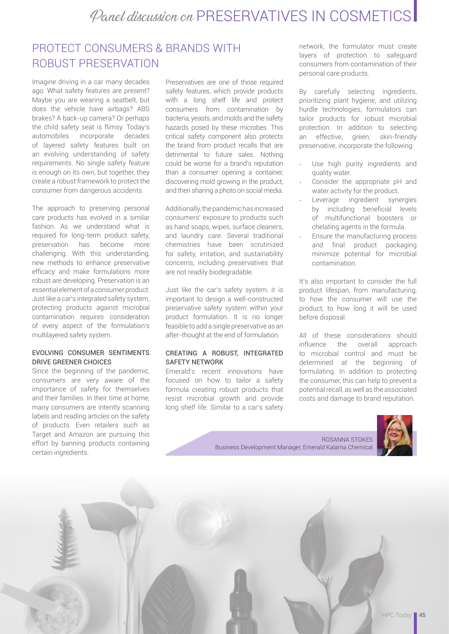# PROTECT CONSUMERS & BRANDS WITH ROBUST PRESERVATION

Imagine driving in a car many decades ago. What safety features are present? Maybe you are wearing a seatbelt, but does the vehicle have airbags? ABS brakes? A back-up camera? Or perhaps the child safety seat is flimsy. Today's<br>automobiles incorporate decades incorporate decades of layered safety features built on an evolving understanding of safety requirements. No single safety feature is enough on its own, but together, they create a robust framework to protect the consumer from dangerous accidents.

The approach to preserving personal care products has evolved in a similar fashion. As we understand what is required for long-term product safety, preservation has become more challenging. With this understanding, new methods to enhance preservative efficacy and make formulations more robust are developing. Preservation is an essential element of a consumer product. Just like a car's integrated safety system, protecting products against microbial contamination requires consideration of every aspect of the formulation's multilayered safety system.

### EVOLVING CONSUMER SENTIMENTS DRIVE GREENER CHOICES

Since the beginning of the pandemic, consumers are very aware of the importance of safety for themselves and their families. In their time at home, many consumers are intently scanning labels and reading articles on the safety of products. Even retailers such as Target and Amazon are pursuing this effort by banning products containing certain ingredients.

Preservatives are one of those required safety features, which provide products with a long shelf life and protect consumers from contamination by bacteria, yeasts, and molds and the safety hazards posed by these microbes. This critical safety component also protects the brand from product recalls that are detrimental to future sales. Nothing could be worse for a brand's reputation than a consumer opening a container, discovering mold growing in the product, and then sharing a photo on social media.

Additionally, the pandemic has increased consumers' exposure to products such as hand soaps, wipes, surface cleaners, and laundry care. Several traditional chemistries have been scrutinized for safety, irritation, and sustainability concerns, including preservatives that are not readily biodegradable.

Just like the car's safety system, it is important to design a well-constructed preservative safety system within your product formulation. It is no longer feasible to add a single preservative as an after-thought at the end of formulation.

### CREATING A ROBUST, INTEGRATED SAFETY NETWORK

Emerald's recent innovations have focused on how to tailor a safety formula creating robust products that resist microbial growth and provide long shelf life. Similar to a car's safety

network, the formulator must create layers of protection to safeguard consumers from contamination of their personal care products.

By carefully selecting ingredients, prioritizing plant hygiene, and utilizing hurdle technologies, formulators can tailor products for robust microbial protection. In addition to selecting an effective, green, skin-friendly preservative, incorporate the following:

- Use high purity ingredients and quality water.
- Consider the appropriate pH and water activity for the product.
- Leverage ingredient synergies by including beneficial levels of multifunctional boosters or chelating agents in the formula.
- Ensure the manufacturing process and final product packaging minimize potential for microbial contamination.

It's also important to consider the full product lifespan, from manufacturing, to how the consumer will use the product, to how long it will be used before disposal.

All of these considerations should influence the overall approach to microbial control and must be determined at the beginning of formulating. In addition to protecting the consumer, this can help to prevent a potential recall, as well as the associated costs and damage to brand reputation.

ROSANNA STOKES Business Development Manager, Emerald Kalama Chemical



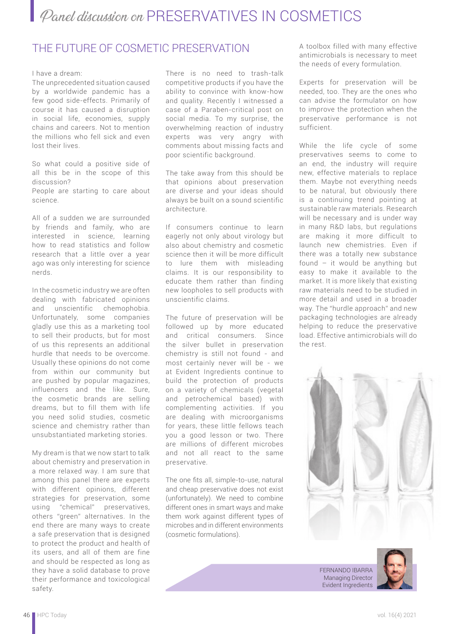## THE FUTURE OF COSMETIC PRESERVATION

### I have a dream:

The unprecedented situation caused by a worldwide pandemic has a few good side-effects. Primarily of course it has caused a disruption in social life, economies, supply chains and careers. Not to mention the millions who fell sick and even lost their lives.

So what could a positive side of all this be in the scope of this discussion?

People are starting to care about science.

All of a sudden we are surrounded by friends and family, who are interested in science, learning how to read statistics and follow research that a little over a year ago was only interesting for science nerds.

In the cosmetic industry we are often dealing with fabricated opinions and unscientific chemophobia. Unfortunately, some companies gladly use this as a marketing tool to sell their products, but for most of us this represents an additional hurdle that needs to be overcome. Usually these opinions do not come from within our community but are pushed by popular magazines, influencers and the like. Sure, the cosmetic brands are selling dreams, but to fill them with life you need solid studies, cosmetic science and chemistry rather than unsubstantiated marketing stories.

My dream is that we now start to talk about chemistry and preservation in a more relaxed way. I am sure that among this panel there are experts with different opinions, different strategies for preservation, some using "chemical" preservatives, others "green" alternatives. In the end there are many ways to create a safe preservation that is designed to protect the product and health of its users, and all of them are fine and should be respected as long as they have a solid database to prove their performance and toxicological safety.

There is no need to trash-talk competitive products if you have the ability to convince with know-how and quality. Recently I witnessed a case of a Paraben-critical post on social media. To my surprise, the overwhelming reaction of industry experts was very angry with comments about missing facts and poor scientific background.

The take away from this should be that opinions about preservation are diverse and your ideas should always be built on a sound scientific architecture.

If consumers continue to learn eagerly not only about virology but also about chemistry and cosmetic science then it will be more difficult to lure them with misleading claims. It is our responsibility to educate them rather than finding new loopholes to sell products with unscientific claims.

The future of preservation will be followed up by more educated and critical consumers. Since the silver bullet in preservation chemistry is still not found - and most certainly never will be - we at Evident Ingredients continue to build the protection of products on a variety of chemicals (vegetal and petrochemical based) with complementing activities. If you are dealing with microorganisms for years, these little fellows teach you a good lesson or two. There are millions of different microbes and not all react to the same preservative.

The one fits all, simple-to-use, natural and cheap preservative does not exist (unfortunately). We need to combine different ones in smart ways and make them work against different types of microbes and in different environments (cosmetic formulations).

A toolbox filled with many effective antimicrobials is necessary to meet the needs of every formulation.

Experts for preservation will be needed, too. They are the ones who can advise the formulator on how to improve the protection when the preservative performance is not sufficient.

While the life cycle of some preservatives seems to come to an end, the industry will require new, effective materials to replace them. Maybe not everything needs to be natural, but obviously there is a continuing trend pointing at sustainable raw materials. Research will be necessary and is under way in many R&D labs, but regulations are making it more difficult to launch new chemistries. Even if there was a totally new substance found – it would be anything but easy to make it available to the market. It is more likely that existing raw materials need to be studied in more detail and used in a broader way. The "hurdle approach" and new packaging technologies are already helping to reduce the preservative load. Effective antimicrobials will do the rest.



FERNANDO IBARRA Managing Director Evident Ingredients

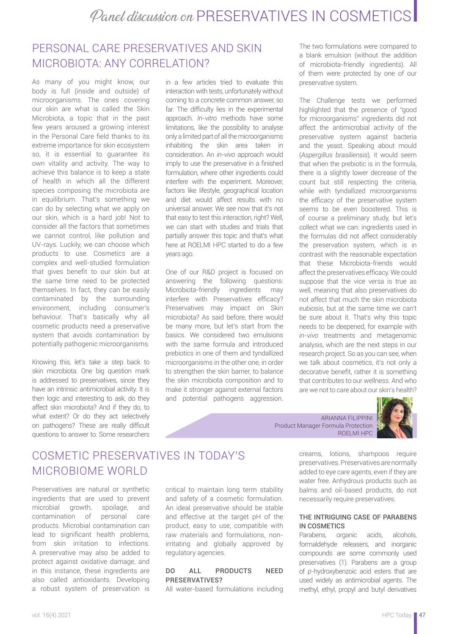# PERSONAL CARE PRESERVATIVES AND SKIN MICROBIOTA: ANY CORRELATION?

As many of you might know, our body is full (inside and outside) of microorganisms. The ones covering our skin are what is called the Skin Microbiota, a topic that in the past few years aroused a growing interest in the Personal Care field thanks to its extreme importance for skin ecosystem so, it is essential to guarantee its own vitality and activity. The way to achieve this balance is to keep a state of health in which all the different species composing the microbiota are in equilibrium. That's something we can do by selecting what we apply on our skin, which is a hard job! Not to consider all the factors that sometimes we cannot control, like pollution and UV-rays. Luckily, we can choose which products to use. Cosmetics are a complex and well-studied formulation that gives benefit to our skin but at the same time need to be protected themselves. In fact, they can be easily contaminated by the surrounding environment, including consumer's behaviour. That's basically why all cosmetic products need a preservative system that avoids contamination by potentially pathogenic microorganisms.

Knowing this, let's take a step back to skin microbiota. One big question mark is addressed to preservatives, since they have an intrinsic antimicrobial activity. It is then logic and interesting to ask, do they affect skin microbiota? And if they do, to what extent? Or do they act selectively on pathogens? These are really difficult questions to answer to. Some researchers

in a few articles tried to evaluate this interaction with tests, unfortunately without coming to a concrete common answer, so far. The difficulty lies in the experimental approach. *In-vitro* methods have some limitations, like the possibility to analyse only a limited part of all the microorganisms inhabiting the skin area taken in consideration. An *in-vivo* approach would imply to use the preservative in a finished formulation, where other ingredients could interfere with the experiment. Moreover, factors like lifestyle, geographical location and diet would affect results with no universal answer. We see now that it's not that easy to test this interaction, right? Well, we can start with studies and trials that partially answer this topic and that's what here at ROELMI HPC started to do a few years ago.

One of our R&D project is focused on answering the following questions: Microbiota-friendly ingredients may interfere with Preservatives efficacy? Preservatives may impact on Skin microbiota? As said before, there would be many more, but let's start from the basics. We considered two emulsions with the same formula and introduced prebiotics in one of them and tyndallized microorganisms in the other one, in order to strengthen the skin barrier, to balance the skin microbiota composition and to make it stronger against external factors and potential pathogens aggression.

The two formulations were compared to a blank emulsion (without the addition of microbiota-friendly ingredients). All of them were protected by one of our preservative system.

The Challenge tests we performed highlighted that the presence of "good for microorganisms" ingredients did not affect the antimicrobial activity of the preservative system against bacteria and the yeast. Speaking about mould (*Aspergillus brasiliensis*), it would seem that when the prebiotic is in the formula, there is a slightly lower decrease of the count but still respecting the criteria, while with tyndallized microorganisms the efficacy of the preservative system seems to be even boostered. This is of course a preliminary study, but let's collect what we can: ingredients used in the formulas did not affect considerably the preservation system, which is in contrast with the reasonable expectation that these Microbiota-friends would affect the preservatives efficacy. We could suppose that the vice versa is true as well, meaning that also preservatives do not affect that much the skin microbiota *eubiosis*, but at the same time we can't be sure about it. That's why this topic needs to be deepened, for example with *in-vivo* treatments and metagenomic analysis, which are the next steps in our research project. So as you can see, when we talk about cosmetics, it's not only a decorative benefit, rather it is something that contributes to our wellness. And who are we not to care about our skin's health?

ARIANNA FILIPPINI Product Manager Formula Protection ROELMI HPC



# COSMETIC PRESERVATIVES IN TODAY'S MICROBIOME WORLD

Preservatives are natural or synthetic ingredients that are used to prevent microbial growth, spoilage, and contamination of personal care products. Microbial contamination can lead to significant health problems, from skin irritation to infections. A preservative may also be added to protect against oxidative damage, and in this instance, these ingredients are also called antioxidants. Developing a robust system of preservation is

critical to maintain long term stability and safety of a cosmetic formulation. An ideal preservative should be stable and effective at the target pH of the product, easy to use, compatible with raw materials and formulations, nonirritating and globally approved by regulatory agencies.

### DO ALL PRODUCTS NEED PRESERVATIVES?

All water-based formulations including

creams, lotions, shampoos require preservatives. Preservatives are normally added to eye care agents, even if they are water free. Anhydrous products such as balms and oil-based products, do not necessarily require preservatives.

### THE INTRIGUING CASE OF PARABENS IN COSMETICS

Parabens, organic acids, alcohols, formaldehyde releasers, and inorganic compounds are some commonly used preservatives (1). Parabens are a group of *p*-hydroxybenzoic acid esters that are used widely as antimicrobial agents. The methyl, ethyl, propyl and butyl derivatives